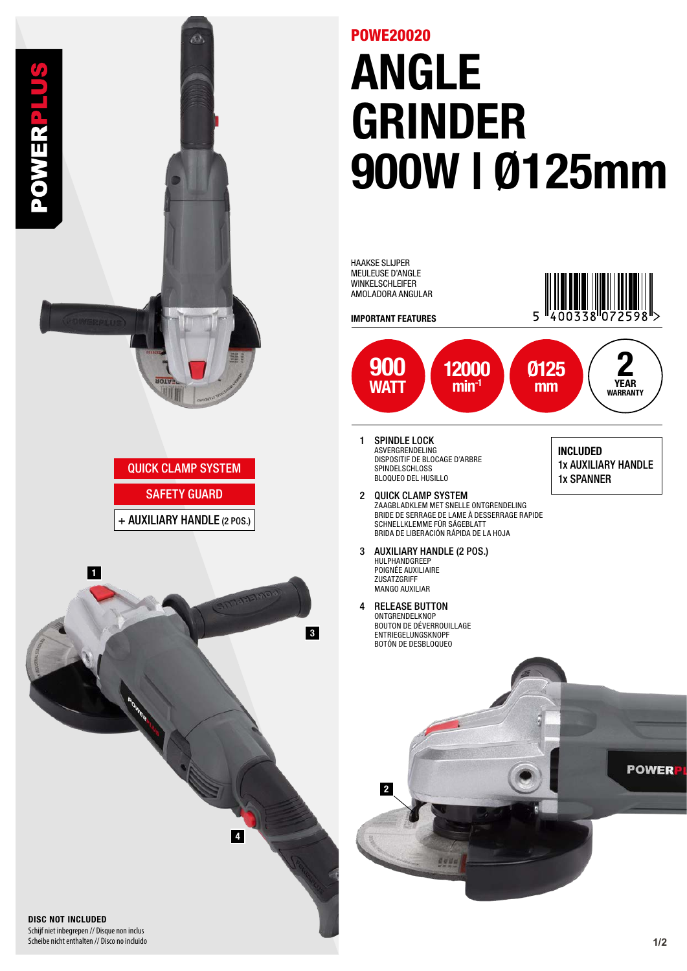

## ANGLE GRINDER 900W | Ø125mm POWE20020